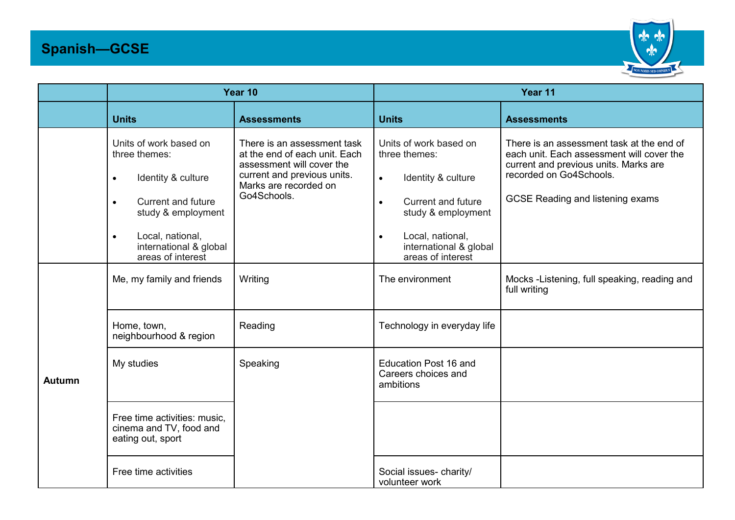## **Spanish—GCSE**



|               | Year 10                                                                                                                                                                                                                    |                                                                                                                                                                  | Year 11                                                                                                                                                                                                                    |                                                                                                                                                                                                       |
|---------------|----------------------------------------------------------------------------------------------------------------------------------------------------------------------------------------------------------------------------|------------------------------------------------------------------------------------------------------------------------------------------------------------------|----------------------------------------------------------------------------------------------------------------------------------------------------------------------------------------------------------------------------|-------------------------------------------------------------------------------------------------------------------------------------------------------------------------------------------------------|
|               | <b>Units</b>                                                                                                                                                                                                               | <b>Assessments</b>                                                                                                                                               | <b>Units</b>                                                                                                                                                                                                               | <b>Assessments</b>                                                                                                                                                                                    |
|               | Units of work based on<br>three themes:<br>Identity & culture<br>$\bullet$<br><b>Current and future</b><br>$\bullet$<br>study & employment<br>Local, national,<br>$\bullet$<br>international & global<br>areas of interest | There is an assessment task<br>at the end of each unit. Each<br>assessment will cover the<br>current and previous units.<br>Marks are recorded on<br>Go4Schools. | Units of work based on<br>three themes:<br>Identity & culture<br>$\bullet$<br><b>Current and future</b><br>$\bullet$<br>study & employment<br>Local, national,<br>$\bullet$<br>international & global<br>areas of interest | There is an assessment task at the end of<br>each unit. Each assessment will cover the<br>current and previous units. Marks are<br>recorded on Go4Schools.<br><b>GCSE Reading and listening exams</b> |
| <b>Autumn</b> | Me, my family and friends                                                                                                                                                                                                  | Writing                                                                                                                                                          | The environment                                                                                                                                                                                                            | Mocks -Listening, full speaking, reading and<br>full writing                                                                                                                                          |
|               | Home, town,<br>neighbourhood & region                                                                                                                                                                                      | Reading                                                                                                                                                          | Technology in everyday life                                                                                                                                                                                                |                                                                                                                                                                                                       |
|               | My studies                                                                                                                                                                                                                 | Speaking                                                                                                                                                         | <b>Education Post 16 and</b><br>Careers choices and<br>ambitions                                                                                                                                                           |                                                                                                                                                                                                       |
|               | Free time activities: music,<br>cinema and TV, food and<br>eating out, sport                                                                                                                                               |                                                                                                                                                                  |                                                                                                                                                                                                                            |                                                                                                                                                                                                       |
|               | Free time activities                                                                                                                                                                                                       |                                                                                                                                                                  | Social issues- charity/<br>volunteer work                                                                                                                                                                                  |                                                                                                                                                                                                       |